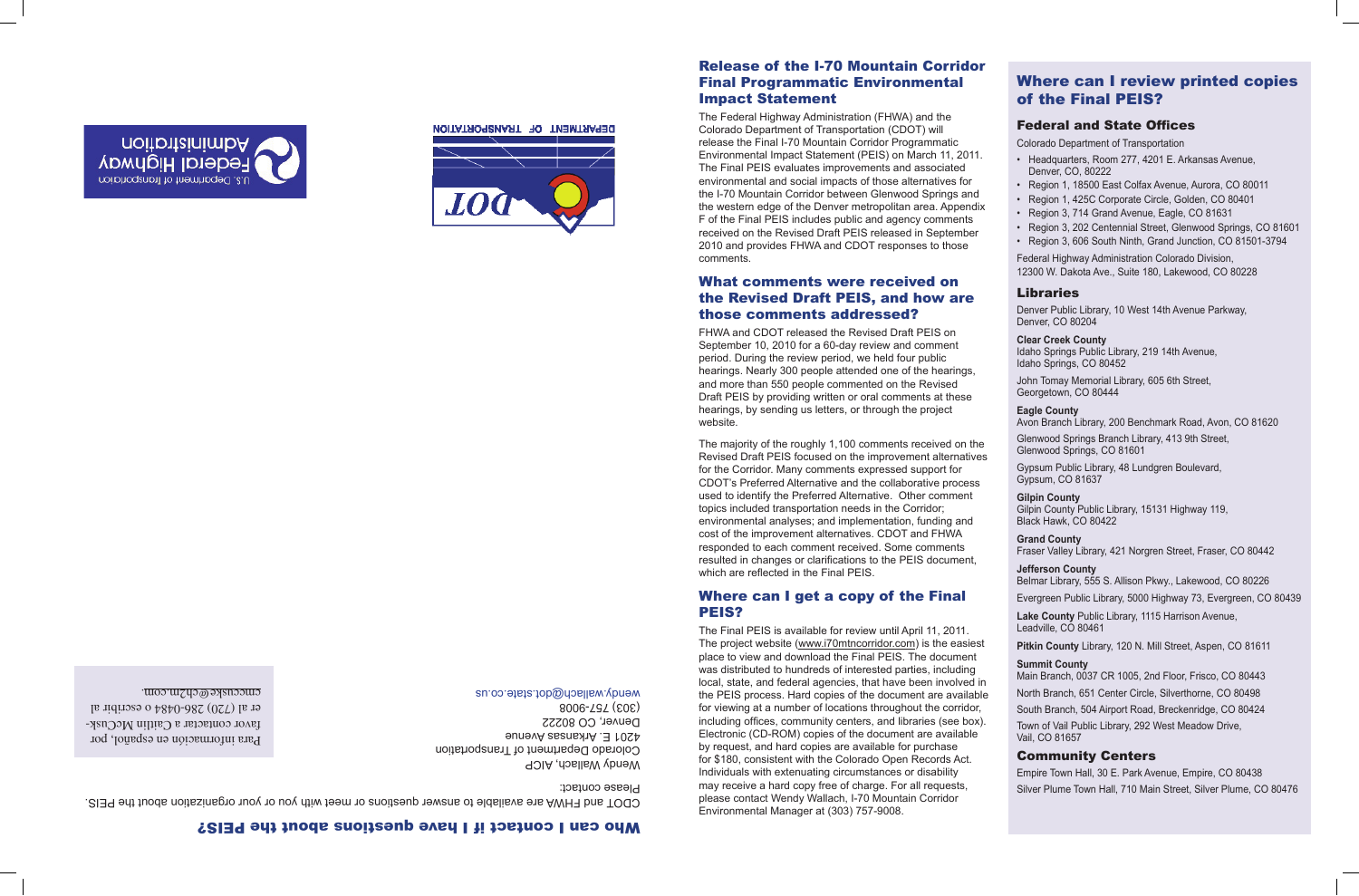

The Federal Highway Administration (FHWA) and the Colorado Department of Transportation (CDOT) will release the Final I-70 Mountain Corridor Programmatic Environmental Impact Statement (PEIS) on March 11, 2011. The Final PEIS evaluates improvements and associated environmental and social impacts of those alternatives for the I-70 Mountain Corridor between Glenwood Springs and the western edge of the Denver metropolitan area. Appendix F of the Final PEIS includes public and agency comments received on the Revised Draft PEIS released in September 2010 and provides FHWA and CDOT responses to those comments.

## What comments were received on the Revised Draft PEIS, and how are those comments addressed?

FHWA and CDOT released the Revised Draft PEIS on September 10, 2010 for a 60-day review and comment period. During the review period, we held four public and more than 550 people commented on the Revised hearings, by sending us letters, or through the project

hearings. Nearly 300 people attended one of the hearings, Draft PEIS by providing written or oral comments at these website. The majority of the roughly 1,100 comments received on the Revised Draft PEIS focused on the improvement alternatives for the Corridor. Many comments expressed support for

CDOT's Preferred Alternative and the collaborative process used to identify the Preferred Alternative. Other comment

Wendy Wallach, AICP Colorado Department of Transportation 4201 E. Arkansas Avenue Denver, CO 80222 (303) 757-9008 wendy.wallach@dob.ed.co.us

topics included transportation needs in the Corridor;

environmental analyses; and implementation, funding and

cost of the improvement alternatives. CDOT and FHWA responded to each comment received. Some comments

resulted in changes or clarifications to the PEIS document,

which are reflected in the Final PEIS.

# Where can I get a copy of the Final PEIS?

The Final PEIS is available for review until April 11, 2011. The project website (www.i70mtncorridor.com) is the easiest place to view and download the Final PEIS. The document was distributed to hundreds of interested parties, including local, state, and federal agencies, that have been involved in the PEIS process. Hard copies of the document are available for viewing at a number of locations throughout the corridor, including offices, community centers, and libraries (see box). Electronic (CD-ROM) copies of the document are available by request, and hard copies are available for purchase for \$180, consistent with the Colorado Open Records Act. Individuals with extenuating circumstances or disability may receive a hard copy free of charge. For all requests, please contact Wendy Wallach, I-70 Mountain Corridor Environmental Manager at (303) 757-9008.



DEPARTMENT OF TRANSPORTATION

# Who can I contact if I have questions about the PEIS?

CDOT and FHWA are available to answer questions or meet with you or your organization about the PEIS. Please contact:

# Where can I review printed copies of the Final PEIS?

## Federal and State Offices

Colorado Department of Transportation

- Headquarters, Room 277, 4201 E. Arkansas Avenue, Denver, CO, 80222
- Region 1, 18500 East Colfax Avenue, Aurora, CO 80011
- Region 1, 425C Corporate Circle, Golden, CO 80401
- Region 3, 714 Grand Avenue, Eagle, CO 81631
- Region 3, 202 Centennial Street, Glenwood Springs, CO 81601
- Region 3, 606 South Ninth, Grand Junction, CO 81501-3794

Federal Highway Administration Colorado Division, 12300 W. Dakota Ave., Suite 180, Lakewood, CO 80228

## Libraries

Denver Public Library, 10 West 14th Avenue Parkway, Denver, CO 80204

#### **Clear Creek County**

Idaho Springs Public Library, 219 14th Avenue, Idaho Springs, CO 80452

John Tomay Memorial Library, 605 6th Street, Georgetown, CO 80444

#### **Eagle County**

Avon Branch Library, 200 Benchmark Road, Avon, CO 81620

Glenwood Springs Branch Library, 413 9th Street, Glenwood Springs, CO 81601

Gypsum Public Library, 48 Lundgren Boulevard, Gypsum, CO 81637

### **Gilpin County**

Gilpin County Public Library, 15131 Highway 119, Black Hawk, CO 80422

### **Grand County**

Fraser Valley Library, 421 Norgren Street, Fraser, CO 80442

### **Jefferson County**

Belmar Library, 555 S. Allison Pkwy., Lakewood, CO 80226 Evergreen Public Library, 5000 Highway 73, Evergreen, CO 80439

**Lake County** Public Library, 1115 Harrison Avenue, Leadville, CO 80461

## **Pitkin County** Library, 120 N. Mill Street, Aspen, CO 81611

**Summit County**  Main Branch, 0037 CR 1005, 2nd Floor, Frisco, CO 80443

North Branch, 651 Center Circle, Silverthorne, CO 80498 South Branch, 504 Airport Road, Breckenridge, CO 80424

Town of Vail Public Library, 292 West Meadow Drive, Vail, CO 81657

## Community Centers

Empire Town Hall, 30 E. Park Avenue, Empire, CO 80438 Silver Plume Town Hall, 710 Main Street, Silver Plume, CO 80476

Para información en español, por - favor contactar a Caitlin McCusk er al (720) 286-0484 o escribir al . cmccuske@ch2m.com

**Administration<br>Federal Highway** 

u.s. Department of fransportation